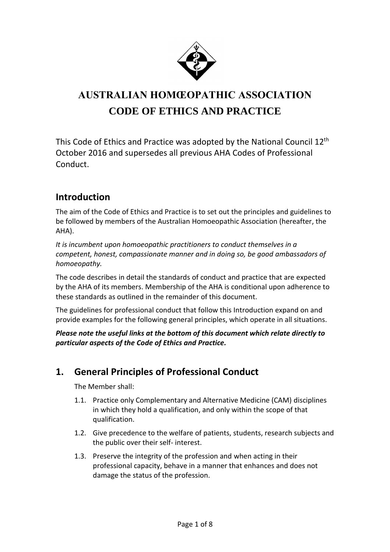

# **AUSTRALIAN HOMŒOPATHIC ASSOCIATION CODE OF ETHICS AND PRACTICE**

This Code of Ethics and Practice was adopted by the National Council 12<sup>th</sup> October 2016 and supersedes all previous AHA Codes of Professional Conduct.

### **Introduction**

The aim of the Code of Ethics and Practice is to set out the principles and guidelines to be followed by members of the Australian Homoeopathic Association (hereafter, the AHA).

*It is incumbent upon homoeopathic practitioners to conduct themselves in a competent, honest, compassionate manner and in doing so, be good ambassadors of homoeopathy.*

The code describes in detail the standards of conduct and practice that are expected by the AHA of its members. Membership of the AHA is conditional upon adherence to these standards as outlined in the remainder of this document.

The guidelines for professional conduct that follow this Introduction expand on and provide examples for the following general principles, which operate in all situations.

*Please note the useful links at the bottom of this document which relate directly to particular aspects of the Code of Ethics and Practice.*

### **1. General Principles of Professional Conduct**

- 1.1. Practice only Complementary and Alternative Medicine (CAM) disciplines in which they hold a qualification, and only within the scope of that qualification.
- 1.2. Give precedence to the welfare of patients, students, research subjects and the public over their self- interest.
- 1.3. Preserve the integrity of the profession and when acting in their professional capacity, behave in a manner that enhances and does not damage the status of the profession.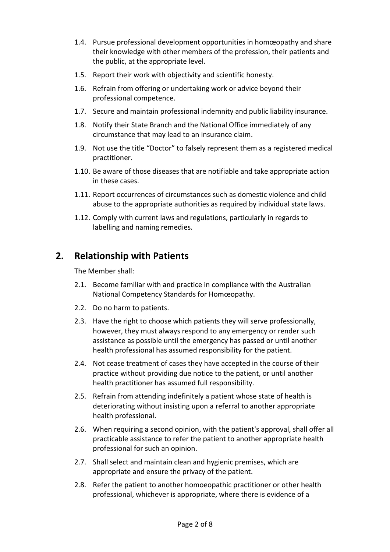- 1.4. Pursue professional development opportunities in homœopathy and share their knowledge with other members of the profession, their patients and the public, at the appropriate level.
- 1.5. Report their work with objectivity and scientific honesty.
- 1.6. Refrain from offering or undertaking work or advice beyond their professional competence.
- 1.7. Secure and maintain professional indemnity and public liability insurance.
- 1.8. Notify their State Branch and the National Office immediately of any circumstance that may lead to an insurance claim.
- 1.9. Not use the title "Doctor" to falsely represent them as a registered medical practitioner.
- 1.10. Be aware of those diseases that are notifiable and take appropriate action in these cases.
- 1.11. Report occurrences of circumstances such as domestic violence and child abuse to the appropriate authorities as required by individual state laws.
- 1.12. Comply with current laws and regulations, particularly in regards to labelling and naming remedies.

#### **2. Relationship with Patients**

- 2.1. Become familiar with and practice in compliance with the Australian National Competency Standards for Homœopathy.
- 2.2. Do no harm to patients.
- 2.3. Have the right to choose which patients they will serve professionally, however, they must always respond to any emergency or render such assistance as possible until the emergency has passed or until another health professional has assumed responsibility for the patient.
- 2.4. Not cease treatment of cases they have accepted in the course of their practice without providing due notice to the patient, or until another health practitioner has assumed full responsibility.
- 2.5. Refrain from attending indefinitely a patient whose state of health is deteriorating without insisting upon a referral to another appropriate health professional.
- 2.6. When requiring a second opinion, with the patient's approval, shall offer all practicable assistance to refer the patient to another appropriate health professional for such an opinion.
- 2.7. Shall select and maintain clean and hygienic premises, which are appropriate and ensure the privacy of the patient.
- 2.8. Refer the patient to another homoeopathic practitioner or other health professional, whichever is appropriate, where there is evidence of a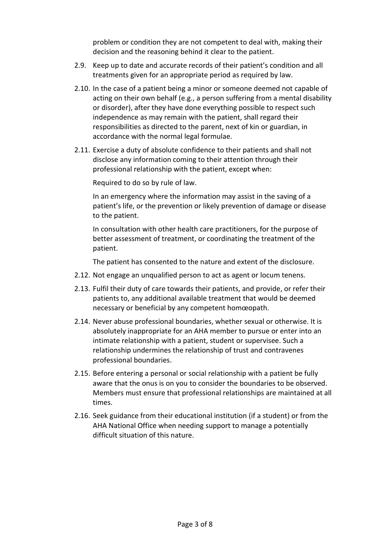problem or condition they are not competent to deal with, making their decision and the reasoning behind it clear to the patient.

- 2.9. Keep up to date and accurate records of their patient's condition and all treatments given for an appropriate period as required by law.
- 2.10. In the case of a patient being a minor or someone deemed not capable of acting on their own behalf (e.g., a person suffering from a mental disability or disorder), after they have done everything possible to respect such independence as may remain with the patient, shall regard their responsibilities as directed to the parent, next of kin or guardian, in accordance with the normal legal formulae.
- 2.11. Exercise a duty of absolute confidence to their patients and shall not disclose any information coming to their attention through their professional relationship with the patient, except when:

Required to do so by rule of law.

In an emergency where the information may assist in the saving of a patient's life, or the prevention or likely prevention of damage or disease to the patient.

In consultation with other health care practitioners, for the purpose of better assessment of treatment, or coordinating the treatment of the patient.

The patient has consented to the nature and extent of the disclosure.

- 2.12. Not engage an unqualified person to act as agent or locum tenens.
- 2.13. Fulfil their duty of care towards their patients, and provide, or refer their patients to, any additional available treatment that would be deemed necessary or beneficial by any competent homœopath.
- 2.14. Never abuse professional boundaries, whether sexual or otherwise. It is absolutely inappropriate for an AHA member to pursue or enter into an intimate relationship with a patient, student or supervisee. Such a relationship undermines the relationship of trust and contravenes professional boundaries.
- 2.15. Before entering a personal or social relationship with a patient be fully aware that the onus is on you to consider the boundaries to be observed. Members must ensure that professional relationships are maintained at all times.
- 2.16. Seek guidance from their educational institution (if a student) or from the AHA National Office when needing support to manage a potentially difficult situation of this nature.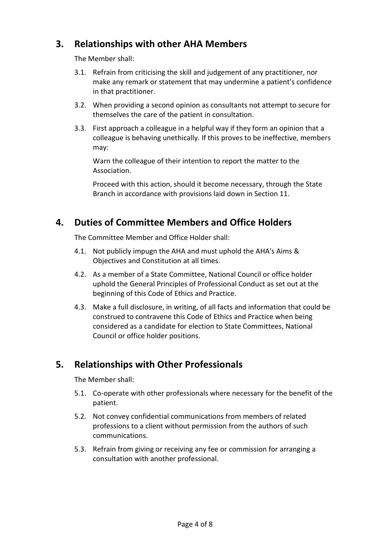# **3. Relationships with other AHA Members**

The Member shall:

- 3.1. Refrain from criticising the skill and judgement of any practitioner, nor make any remark or statement that may undermine a patient's confidence in that practitioner.
- 3.2. When providing a second opinion as consultants not attempt to secure for themselves the care of the patient in consultation.
- 3.3. First approach a colleague in a helpful way if they form an opinion that a colleague is behaving unethically. If this proves to be ineffective, members may:

Warn the colleague of their intention to report the matter to the Association.

Proceed with this action, should it become necessary, through the State Branch in accordance with provisions laid down in Section 11.

# **4. Duties of Committee Members and Office Holders**

The Committee Member and Office Holder shall:

- 4.1. Not publicly impugn the AHA and must uphold the AHA's Aims & Objectives and Constitution at all times.
- 4.2. As a member of a State Committee, National Council or office holder uphold the General Principles of Professional Conduct as set out at the beginning of this Code of Ethics and Practice.
- 4.3. Make a full disclosure, in writing, of all facts and information that could be construed to contravene this Code of Ethics and Practice when being considered as a candidate for election to State Committees, National Council or office holder positions.

### **5. Relationships with Other Professionals**

- 5.1. Co-operate with other professionals where necessary for the benefit of the patient.
- 5.2. Not convey confidential communications from members of related professions to a client without permission from the authors of such communications.
- 5.3. Refrain from giving or receiving any fee or commission for arranging a consultation with another professional.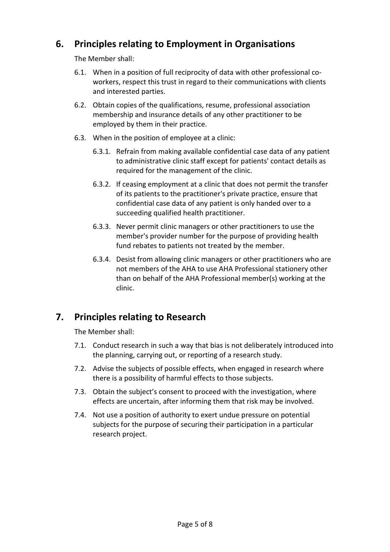# **6. Principles relating to Employment in Organisations**

The Member shall:

- 6.1. When in a position of full reciprocity of data with other professional coworkers, respect this trust in regard to their communications with clients and interested parties.
- 6.2. Obtain copies of the qualifications, resume, professional association membership and insurance details of any other practitioner to be employed by them in their practice.
- 6.3. When in the position of employee at a clinic:
	- 6.3.1. Refrain from making available confidential case data of any patient to administrative clinic staff except for patients' contact details as required for the management of the clinic.
	- 6.3.2. If ceasing employment at a clinic that does not permit the transfer of its patients to the practitioner's private practice, ensure that confidential case data of any patient is only handed over to a succeeding qualified health practitioner.
	- 6.3.3. Never permit clinic managers or other practitioners to use the member's provider number for the purpose of providing health fund rebates to patients not treated by the member.
	- 6.3.4. Desist from allowing clinic managers or other practitioners who are not members of the AHA to use AHA Professional stationery other than on behalf of the AHA Professional member(s) working at the clinic.

# **7. Principles relating to Research**

- 7.1. Conduct research in such a way that bias is not deliberately introduced into the planning, carrying out, or reporting of a research study.
- 7.2. Advise the subjects of possible effects, when engaged in research where there is a possibility of harmful effects to those subjects.
- 7.3. Obtain the subject's consent to proceed with the investigation, where effects are uncertain, after informing them that risk may be involved.
- 7.4. Not use a position of authority to exert undue pressure on potential subjects for the purpose of securing their participation in a particular research project.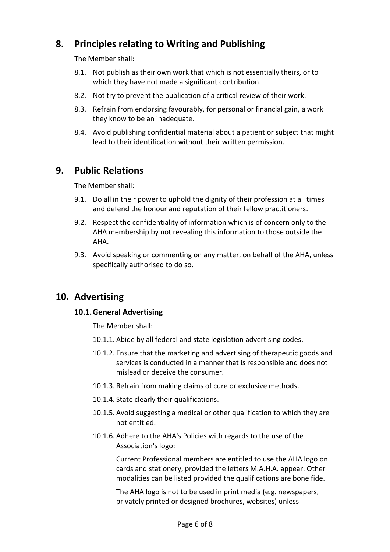# **8. Principles relating to Writing and Publishing**

The Member shall:

- 8.1. Not publish as their own work that which is not essentially theirs, or to which they have not made a significant contribution.
- 8.2. Not try to prevent the publication of a critical review of their work.
- 8.3. Refrain from endorsing favourably, for personal or financial gain, a work they know to be an inadequate.
- 8.4. Avoid publishing confidential material about a patient or subject that might lead to their identification without their written permission.

#### **9. Public Relations**

The Member shall:

- 9.1. Do all in their power to uphold the dignity of their profession at all times and defend the honour and reputation of their fellow practitioners.
- 9.2. Respect the confidentiality of information which is of concern only to the AHA membership by not revealing this information to those outside the AHA.
- 9.3. Avoid speaking or commenting on any matter, on behalf of the AHA, unless specifically authorised to do so.

#### **10. Advertising**

#### **10.1.General Advertising**

The Member shall:

- 10.1.1. Abide by all federal and state legislation advertising codes.
- 10.1.2. Ensure that the marketing and advertising of therapeutic goods and services is conducted in a manner that is responsible and does not mislead or deceive the consumer.
- 10.1.3. Refrain from making claims of cure or exclusive methods.
- 10.1.4. State clearly their qualifications.
- 10.1.5. Avoid suggesting a medical or other qualification to which they are not entitled.
- 10.1.6. Adhere to the AHA's Policies with regards to the use of the Association's logo:

Current Professional members are entitled to use the AHA logo on cards and stationery, provided the letters M.A.H.A. appear. Other modalities can be listed provided the qualifications are bone fide.

The AHA logo is not to be used in print media (e.g. newspapers, privately printed or designed brochures, websites) unless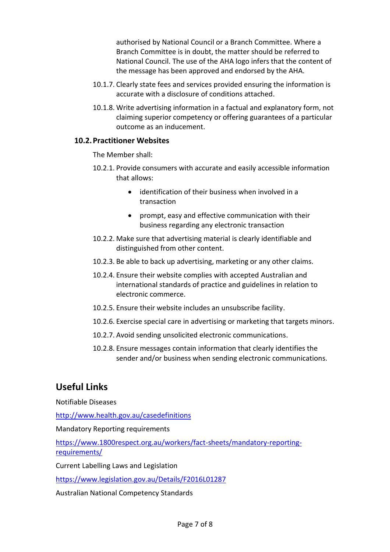authorised by National Council or a Branch Committee. Where a Branch Committee is in doubt, the matter should be referred to National Council. The use of the AHA logo infers that the content of the message has been approved and endorsed by the AHA.

- 10.1.7. Clearly state fees and services provided ensuring the information is accurate with a disclosure of conditions attached.
- 10.1.8. Write advertising information in a factual and explanatory form, not claiming superior competency or offering guarantees of a particular outcome as an inducement.

#### **10.2.Practitioner Websites**

The Member shall:

- 10.2.1. Provide consumers with accurate and easily accessible information that allows:
	- identification of their business when involved in a transaction
	- prompt, easy and effective communication with their business regarding any electronic transaction
- 10.2.2. Make sure that advertising material is clearly identifiable and distinguished from other content.
- 10.2.3. Be able to back up advertising, marketing or any other claims.
- 10.2.4. Ensure their website complies with accepted Australian and international standards of practice and guidelines in relation to electronic commerce.
- 10.2.5. Ensure their website includes an unsubscribe facility.
- 10.2.6. Exercise special care in advertising or marketing that targets minors.
- 10.2.7. Avoid sending unsolicited electronic communications.
- 10.2.8. Ensure messages contain information that clearly identifies the sender and/or business when sending electronic communications.

### **Useful Links**

Notifiable Diseases

<http://www.health.gov.au/casedefinitions>

Mandatory Reporting requirements

[https://www.1800respect.org.au/workers/fact-sheets/mandatory-reporting](https://www.1800respect.org.au/workers/fact-sheets/mandatory-reporting-requirements/)[requirements/](https://www.1800respect.org.au/workers/fact-sheets/mandatory-reporting-requirements/)

Current Labelling Laws and Legislation

<https://www.legislation.gov.au/Details/F2016L01287>

Australian National Competency Standards